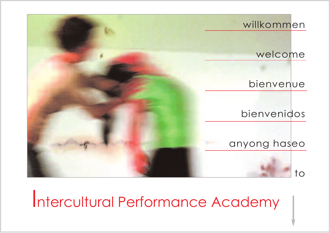

Intercultural Performance Academy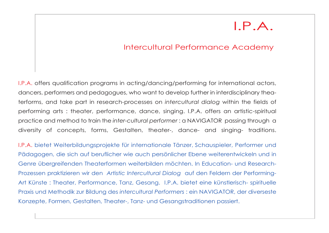## I.P.A.

### Intercultural Performance Academy

I.P.A. offers qualification programs in acting/dancing/performing for international actors, dancers, performers and pedagogues, who want to develop further in interdisciplinary theaterforms, and take part in research-processes on *intercultural dialog* within the fields of performing arts : theater, performance, dance, singing. I.P.A. offers an artistic-spiritual practice and method to train the *inter-cultural performer* : a NAVIGATOR passing through a diversity of concepts, forms, Gestalten, theater-, dance- and singing- traditions.

I.P.A. bietet Weiterbildungsprojekte für internationale Tänzer, Schauspieler, Performer und Pädagogen, die sich auf beruflicher wie auch persönlicher Ebene weiterentwickeln und in Genre übergreifenden Theaterformen weiterbilden möchten. In Education- und Research-Prozessen praktizieren wir den *Artistic Intercultural Dialog* auf den Feldern der Performing-Art Künste : Theater, Performance, Tanz, Gesang. I.P.A. bietet eine künstlerisch- spirituelle Praxis und Methodik zur Bildung des *intercultural Performers* : ein NAVIGATOR, der diverseste Konzepte, Formen, Gestalten, Theater-, Tanz- und Gesangstraditionen passiert.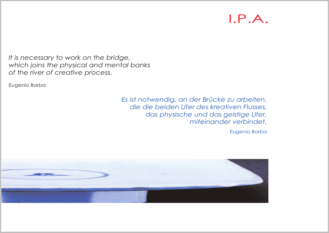## I.P.A.

*It is necessary to work on the bridge, which joins the physical and mental banks of the river of creative process.*

Eugenio Barba

*Es ist notwendig, an der Brücke zu arbeiten, die die beiden Ufer des kreativen Flusses, das physische und das geistige Ufer, miteinander verbindet.*

Eugenio Barba

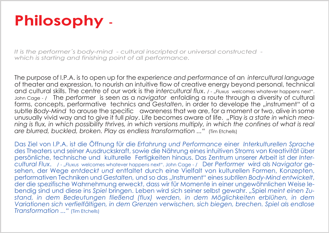# **Philosophy -**

*It is the performer´s body-mind - cultural inscripted or universal constructed which is starting and finishing point of all performance.*

The purpose of I.P.A. is to open up for the *experience and performance* of an *intercultural language* of theater and expression, to nourish an intuitive flow of creative energy beyond personal, technical and cultural skills. The centre of our work is the *intercultural flux*. / - "*Fluxus* welcomes whatever happens next". John Cage - / The *performer* is seen as a *navigator* enfolding a route through a diversity of cultural forms, concepts, performative technics and *Gestalten*, in order to develope the "instrument" of a subtle *Body-Mind* to arouse the specific awareness that we are, for a moment or two, alive in some unusually vivid way and to give it full *play*. Life becomes aware of life. *"*Play *is a state in which mea*ning is flux, in which possibility thrives, in which versions multiply, in which the confines of what is real *are blurred, buckled, broken. Play as endless transformation ..."* (Tim Etchells)

Das Ziel von I.P.A. ist die Öffnung für die *Erfahrung und Performance* einer *Interkulturellen Sprache* des Theaters und seiner Ausdruckskraft, sowie die Nährung eines intuitiven Stroms von Kreativität über persönliche, technische und kulturelle Fertigkeiten hinaus. Das Zentrum unserer Arbeit ist der *Intercultural Flux*. / - "*Fluxus* welcomes whatever happens next". John Cage - / Der *Performer* wird als *Navigator* gesehen, der Wege *entdeckt und* entfaltet durch eine Vielfalt von kulturellen Formen, Konzepten, performativen Techniken und *Gestalten,* und so das "Instrument" eines *subtilen Body-Mind entwickelt*, der die spezifische Wahrnehmung erweckt, dass wir für Momente in einer ungewöhnlichen Weise lebendig sind und diese ins *Spiel* bringen. Leben wird sich seiner selbst gewahr. *"*Spiel *meint einen Zustand, in dem Bedeutungen fließend (flux) werden, in dem Möglichkeiten erblühen, in dem Variationen sich verfielfältigen, in dem Grenzen verwischen, sich biegen, brechen. Spiel als endlose Transformation ..."* (Tim Etchells)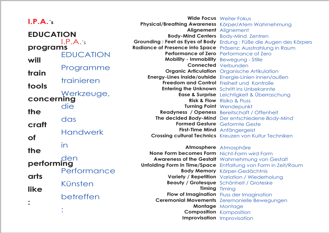#### **I.P.A.´s**

 $I.P.A.'s$ EDUCATION Programme trainieren Werkzeuge, die das Handwerk in den Performance Künsten betreffen : **EDUCATION programs will train tools concerning the craft of the performing arts like :**

**Wide Focus** Weiter Fokus Physical/Breathing Awareness Körper/Atem Wahrnehmung Alignement **Alignement Body-Mind Centers** Body-Mind Zentren **Grounding : Feet as Eyes of Body** Erdung : Füße die Augen des Körpers **Radiance of Presence into Space** Präsenz: Ausstrahlung in Raum Performance of Zero **Performance of Zero** Bewegung - Stille **Mobility - Immobility** Connected Verbunden **Organic Articulation** Organische Artikulation  $Energy$ -Lines inside/outside Energie-Linien innen/außen Freedom and Control Freiheit und Kontrolle Entering the Unknown Schritt ins Unbekannte **Ease & Surprise** Leichtigkeit & Überraschung **Risk & Flow** Risiko & Fluss **Turning Point** Wendepunkt Readyness / Openess Bereitschaft / Offenheit **The decided Body-Mind** Der entschiedene Body-Mind Formed Gesture Geformte Geste First-Time Mind Anfängergeist **Crossing cultural Technics** Kreuzen von Kultur Techniken Atmosphere Atmosphäre

**None Form becomes Form** Nicht-Form wird Form

Awareness of the Gestalt Wahrnehmung von Gestalt Unfolding Form in Time/Space Entfaltung von Form in Zeit/Raum **Body Memory** Körper-Gedächtnis **Variety / Repetition** Variation / Wiederholung Schönheit / Groteske **Beauty / Grotesque** Timing **Timing Flow of Imagination** Fluss der Imagination **Ceremonial Movements** Zeremonielle Bewegungen Montage **Montage Composition** Komposition Improvisation **Improvisation**